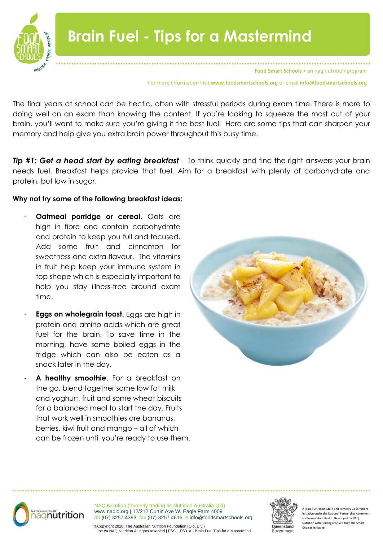

For more information visit **www.foodsmartschools.org** or email **info@foodsmartschools.org**

The final years at school can be hectic, often with stressful periods during exam time. There is more to doing well on an exam than knowing the content. If you're looking to squeeze the most out of your brain, you'll want to make sure you're giving it the best fuel! Here are some tips that can sharpen your memory and help give you extra brain power throughout this busy time.

*Tip #1: Get a head start by eating breakfast* – To think quickly and find the right answers your brain needs fuel. Breakfast helps provide that fuel. Aim for a breakfast with plenty of carbohydrate and protein, but low in sugar.

### **Why not try some of the following breakfast ideas:**

- **Oatmeal porridge or cereal.** Oats are high in fibre and contain carbohydrate and protein to keep you full and focused. Add some fruit and cinnamon for sweetness and extra flavour. The vitamins in fruit help keep your immune system in top shape which is especially important to help you stay illness-free around exam time.
- **Eggs on wholegrain toast**. Eggs are high in protein and amino acids which are great fuel for the brain. To save time in the morning, have some boiled eggs in the fridge which can also be eaten as a snack later in the day.
- A healthy smoothie. For a breakfast on the go, blend together some low fat milk and yoghurt, fruit and some wheat biscuits for a balanced meal to start the day. Fruits that work well in smoothies are bananas, berries, kiwi fruit and mango – all of which can be frozen until you're ready to use them.





NAQ Nutrition (formerly trading as Nutrition Australia Qld) [www.naqld.org](http://www.naqld.org/) | 12/212 Curtin Ave W, Eagle Farm 4009 ph (07) 3257 4393 fax (07) 3257 4616 e info@foodsmartschools.org



Int Australian, State and Territory Govern nitiative under the National Partnership Agreem on Preventative Health. Developed by NAQ Nutrition with funding received from the Smart Choices Initiative.

©Copyright 2020. The Australian Nutrition Foundation (Qld. Div.) Inc t/a NAQ Nutrition All rights reserved | FSS\_\_FS31a - Brain Fuel Tips for a Mastermind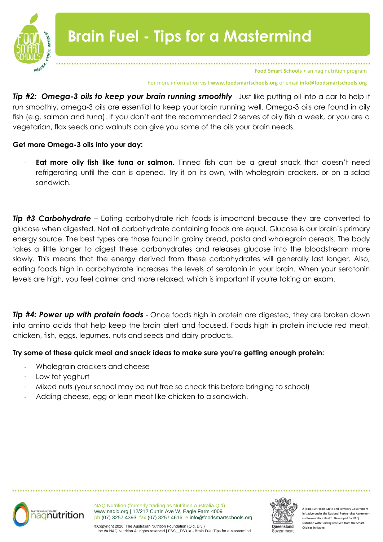

**Food Smart Schools** • an naq nutrition program

#### For more information visit **www.foodsmartschools.org** or email **info@foodsmartschools.org**

*Tip #2: Omega-3 oils to keep your brain running smoothly* –Just like putting oil into a car to help it run smoothly, omega-3 oils are essential to keep your brain running well. Omega-3 oils are found in oily fish (e.g. salmon and tuna). If you don't eat the recommended 2 serves of oily fish a week, or you are a vegetarian, flax seeds and walnuts can give you some of the oils your brain needs.

# **Get more Omega-3 oils into your day:**

**Eat more oily fish like tuna or salmon.** Tinned fish can be a great snack that doesn't need refrigerating until the can is opened. Try it on its own, with wholegrain crackers, or on a salad sandwich.

**Tip #3 Carbohydrate** – Eating carbohydrate rich foods is important because they are converted to glucose when digested. Not all carbohydrate containing foods are equal. Glucose is our brain's primary energy source. The best types are those found in grainy bread, pasta and wholegrain cereals. The body takes a little longer to digest these carbohydrates and releases glucose into the bloodstream more slowly. This means that the energy derived from these carbohydrates will generally last longer. Also, eating foods high in carbohydrate increases the levels of serotonin in your brain. When your serotonin levels are high, you feel calmer and more relaxed, which is important if you're taking an exam.

*Tip #4: Power up with protein foods* - Once foods high in protein are digested, they are broken down into amino acids that help keep the brain alert and focused. Foods high in protein include red meat, chicken, fish, eggs, legumes, nuts and seeds and dairy products.

# **Try some of these quick meal and snack ideas to make sure you're getting enough protein:**

- Wholegrain crackers and cheese
- Low fat yoghurt
- Mixed nuts (your school may be nut free so check this before bringing to school)
- Adding cheese, egg or lean meat like chicken to a sandwich.



NAQ Nutrition (formerly trading as Nutrition Australia Qld) [www.naqld.org](http://www.naqld.org/) | 12/212 Curtin Ave W, Eagle Farm 4009 ph (07) 3257 4393 fax (07) 3257 4616 e info@foodsmartschools.org



bint Australian, State and Territory Govern initiative under the National Partnership Agreement on Preventative Health. Developed by NAQ Nutrition with funding received from the Smart Choices Initiative.